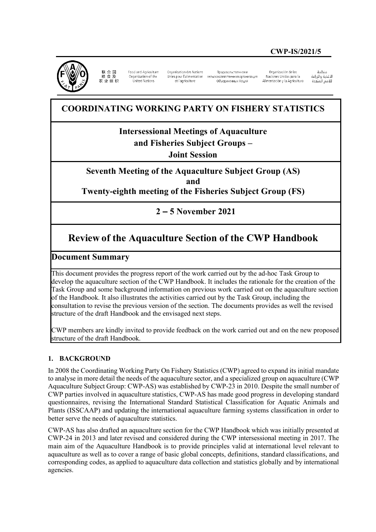## **CWP-IS/2021/5**



祥 合 围 粮 食 及 农业组织

Food and Agriculture<br>Organization of the United Nations

Organisation des Nations et l'agriculture

Проловольственная и Unies pour l'alimentation сельскохозяйственная организация Объединенных Наций

Ornanización de las Naciones Unidas para la Alimentación y la Agricultura

änhin الأغذية والزراعة للأمم المتحدة

# **COORDINATING WORKING PARTY ON FISHERY STATISTICS**

**Intersessional Meetings of Aquaculture** 

**and Fisheries Subject Groups –** 

**Joint Session**

**Seventh Meeting of the Aquaculture Subject Group (AS) and Twenty-eighth meeting of the Fisheries Subject Group (FS)**

**2 – 5 November 2021**

# **Review of the Aquaculture Section of the CWP Handbook**

## **Document Summary**

This document provides the progress report of the work carried out by the ad-hoc Task Group to develop the aquaculture section of the CWP Handbook. It includes the rationale for the creation of the Task Group and some background information on previous work carried out on the aquaculture section of the Handbook. It also illustrates the activities carried out by the Task Group, including the consultation to revise the previous version of the section. The documents provides as well the revised structure of the draft Handbook and the envisaged next steps.

CWP members are kindly invited to provide feedback on the work carried out and on the new proposed structure of the draft Handbook.

#### **1. BACKGROUND**

In 2008 the Coordinating Working Party On Fishery Statistics (CWP) agreed to expand its initial mandate to analyse in more detail the needs of the aquaculture sector, and a specialized group on aquaculture (CWP Aquaculture Subject Group: CWP-AS) was established by CWP-23 in 2010. Despite the small number of CWP parties involved in aquaculture statistics, CWP-AS has made good progress in developing standard questionnaires, revising the International Standard Statistical Classification for Aquatic Animals and Plants (ISSCAAP) and updating the international aquaculture farming systems classification in order to better serve the needs of aquaculture statistics.

CWP-AS has also drafted an aquaculture section for the CWP Handbook which was initially presented at CWP-24 in 2013 and later revised and considered during the CWP intersessional meeting in 2017. The main aim of the Aquaculture Handbook is to provide principles valid at international level relevant to aquaculture as well as to cover a range of basic global concepts, definitions, standard classifications, and corresponding codes, as applied to aquaculture data collection and statistics globally and by international agencies.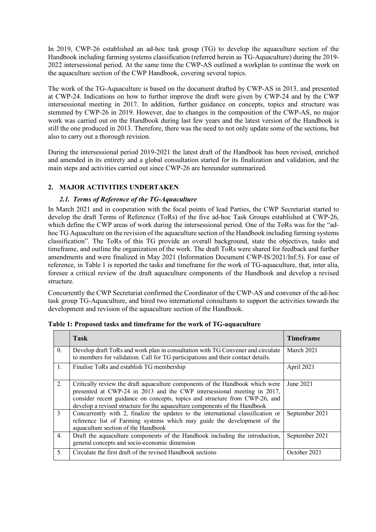In 2019, CWP-26 established an ad-hoc task group (TG) to develop the aquaculture section of the Handbook including farming systems classification (referred herein as TG-Aquaculture) during the 2019- 2022 intersessional period. At the same time the CWP-AS outlined a workplan to continue the work on the aquaculture section of the CWP Handbook, covering several topics.

The work of the TG-Aquaculture is based on the document drafted by CWP-AS in 2013, and presented at CWP-24. Indications on how to further improve the draft were given by CWP-24 and by the CWP intersessional meeting in 2017. In addition, further guidance on concepts, topics and structure was stemmed by CWP-26 in 2019. However, due to changes in the composition of the CWP-AS, no major work was carried out on the Handbook during last few years and the latest version of the Handbook is still the one produced in 2013. Therefore, there was the need to not only update some of the sections, but also to carry out a thorough revision.

During the intersessional period 2019-2021 the latest draft of the Handbook has been revised, enriched and amended in its entirety and a global consultation started for its finalization and validation, and the main steps and activities carried out since CWP-26 are hereunder summarized.

### **2. MAJOR ACTIVITIES UNDERTAKEN**

#### *2.1. Terms of Reference of the TG-Aquaculture*

In March 2021 and in cooperation with the focal points of lead Parties, the CWP Secretariat started to develop the draft Terms of Reference (ToRs) of the five ad-hoc Task Groups established at CWP-26, which define the CWP areas of work during the intersessional period. One of the ToRs was for the "adhoc TG Aquaculture on the revision of the aquaculture section of the Handbook including farming systems classification". The ToRs of this TG provide an overall background, state the objectives, tasks and timeframe, and outline the organization of the work. The draft ToRs were shared for feedback and further amendments and were finalized in May 2021 (Information Document CWP-IS/2021/Inf.5). For ease of reference, in Table 1 is reported the tasks and timeframe for the work of TG-aquaculture, that, inter alia, foresee a critical review of the draft aquaculture components of the Handbook and develop a revised structure.

Concurrently the CWP Secretariat confirmed the Coordinator of the CWP-AS and convener of the ad-hoc task group TG-Aquaculture, and hired two international consultants to support the activities towards the development and revision of the aquaculture section of the Handbook.

|               | Task                                                                                                                                                                                                                                                                                                                  | <b>Timeframe</b> |
|---------------|-----------------------------------------------------------------------------------------------------------------------------------------------------------------------------------------------------------------------------------------------------------------------------------------------------------------------|------------------|
| $\theta$ .    | Develop draft ToRs and work plan in consultation with TG Convener and circulate<br>to members for validation. Call for TG participations and their contact details.                                                                                                                                                   | March 2021       |
| 1.            | Finalise ToRs and establish TG membership                                                                                                                                                                                                                                                                             | April 2021       |
| 2.            | Critically review the draft aquaculture components of the Handbook which were<br>presented at CWP-24 in 2013 and the CWP intersessional meeting in 2017,<br>consider recent guidance on concepts, topics and structure from CWP-26, and<br>develop a revised structure for the aquaculture components of the Handbook | June 2021        |
| $\mathcal{E}$ | Concurrently with 2, finalize the updates to the international classification or<br>reference list of Farming systems which may guide the development of the<br>aquaculture section of the Handbook                                                                                                                   | September 2021   |
| 4.            | Draft the aquaculture components of the Handbook including the introduction,<br>general concepts and socio-economic dimension                                                                                                                                                                                         | September 2021   |
| 5.            | Circulate the first draft of the revised Handbook sections                                                                                                                                                                                                                                                            | October 2021     |

**Table 1: Proposed tasks and timeframe for the work of TG-aquaculture**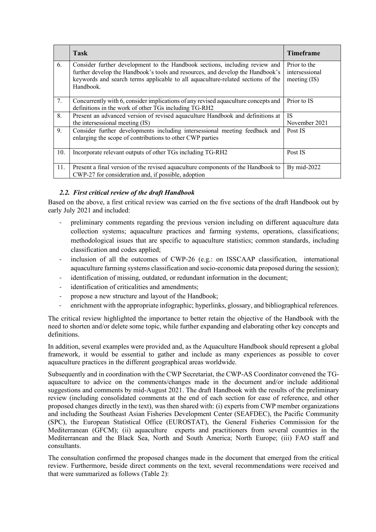|     | <b>Task</b>                                                                                                                                                                                                                                                   | <b>Timeframe</b>                                 |
|-----|---------------------------------------------------------------------------------------------------------------------------------------------------------------------------------------------------------------------------------------------------------------|--------------------------------------------------|
| 6.  | Consider further development to the Handbook sections, including review and<br>further develop the Handbook's tools and resources, and develop the Handbook's<br>keywords and search terms applicable to all aquaculture-related sections of the<br>Handbook. | Prior to the<br>intersessional<br>meeting $(IS)$ |
| 7.  | Concurrently with 6, consider implications of any revised aquaculture concepts and<br>definitions in the work of other TGs including TG-RH2                                                                                                                   | Prior to IS                                      |
| 8.  | Present an advanced version of revised aquaculture Handbook and definitions at<br>the intersessional meeting (IS)                                                                                                                                             | <b>IS</b><br>November 2021                       |
| 9.  | Consider further developments including intersessional meeting feedback and<br>enlarging the scope of contributions to other CWP parties                                                                                                                      | Post IS                                          |
| 10. | Incorporate relevant outputs of other TGs including TG-RH2                                                                                                                                                                                                    | Post IS                                          |
| 11. | Present a final version of the revised aquaculture components of the Handbook to<br>CWP-27 for consideration and, if possible, adoption                                                                                                                       | By mid-2022                                      |

#### *2.2. First critical review of the draft Handbook*

Based on the above, a first critical review was carried on the five sections of the draft Handbook out by early July 2021 and included:

- preliminary comments regarding the previous version including on different aquaculture data collection systems; aquaculture practices and farming systems, operations, classifications; methodological issues that are specific to aquaculture statistics; common standards, including classification and codes applied;
- inclusion of all the outcomes of CWP-26 (e.g.: on ISSCAAP classification, international aquaculture farming systems classification and socio-economic data proposed during the session);
- identification of missing, outdated, or redundant information in the document;
- identification of criticalities and amendments:
- propose a new structure and layout of the Handbook;
- enrichment with the appropriate infographic; hyperlinks, glossary, and bibliographical references.

The critical review highlighted the importance to better retain the objective of the Handbook with the need to shorten and/or delete some topic, while further expanding and elaborating other key concepts and definitions.

In addition, several examples were provided and, as the Aquaculture Handbook should represent a global framework, it would be essential to gather and include as many experiences as possible to cover aquaculture practices in the different geographical areas worldwide.

Subsequently and in coordination with the CWP Secretariat, the CWP-AS Coordinator convened the TGaquaculture to advice on the comments/changes made in the document and/or include additional suggestions and comments by mid-August 2021. The draft Handbook with the results of the preliminary review (including consolidated comments at the end of each section for ease of reference, and other proposed changes directly in the text), was then shared with: (i) experts from CWP member organizations and including the Southeast Asian Fisheries Development Center (SEAFDEC), the Pacific Community (SPC), the European Statistical Office (EUROSTAT), the General Fisheries Commission for the Mediterranean (GFCM); (ii) aquaculture experts and practitioners from several countries in the Mediterranean and the Black Sea, North and South America; North Europe; (iii) FAO staff and consultants.

The consultation confirmed the proposed changes made in the document that emerged from the critical review. Furthermore, beside direct comments on the text, several recommendations were received and that were summarized as follows (Table 2):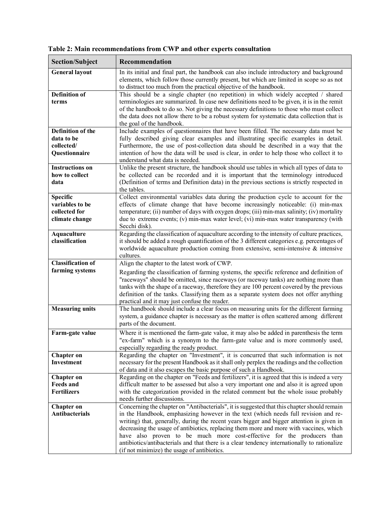| <b>Section/Subject</b>                                                | Recommendation                                                                                                                                                                                                                                                                                                                                                                                                                                                                                                                                                                                     |
|-----------------------------------------------------------------------|----------------------------------------------------------------------------------------------------------------------------------------------------------------------------------------------------------------------------------------------------------------------------------------------------------------------------------------------------------------------------------------------------------------------------------------------------------------------------------------------------------------------------------------------------------------------------------------------------|
| <b>General layout</b>                                                 | In its initial and final part, the handbook can also include introductory and background<br>elements, which follow those currently present, but which are limited in scope so as not<br>to distract too much from the practical objective of the handbook.                                                                                                                                                                                                                                                                                                                                         |
| <b>Definition of</b><br>terms                                         | This should be a single chapter (no repetition) in which widely accepted / shared<br>terminologies are summarized. In case new definitions need to be given, it is in the remit<br>of the handbook to do so. Not giving the necessary definitions to those who must collect<br>the data does not allow there to be a robust system for systematic data collection that is<br>the goal of the handbook.                                                                                                                                                                                             |
| <b>Definition of the</b><br>data to be<br>collected/<br>Questionnaire | Include examples of questionnaires that have been filled. The necessary data must be<br>fully described giving clear examples and illustrating specific examples in detail.<br>Furthermore, the use of post-collection data should be described in a way that the<br>intention of how the data will be used is clear, in order to help those who collect it to<br>understand what data is needed.                                                                                                                                                                                                  |
| <b>Instructions on</b><br>how to collect<br>data                      | Unlike the present structure, the handbook should use tables in which all types of data to<br>be collected can be recorded and it is important that the terminology introduced<br>(Definition of terms and Definition data) in the previous sections is strictly respected in<br>the tables.                                                                                                                                                                                                                                                                                                       |
| <b>Specific</b><br>variables to be<br>collected for<br>climate change | Collect environmental variables data during the production cycle to account for the<br>effects of climate change that have become increasingly noticeable: (i) min-max<br>temperature; (ii) number of days with oxygen drops; (iii) min-max salinity; (iv) mortality<br>due to extreme events; (v) min-max water level; (vi) min-max water transparency (with<br>Secchi disk).                                                                                                                                                                                                                     |
| <b>Aquaculture</b><br>classification                                  | Regarding the classification of aquaculture according to the intensity of culture practices,<br>it should be added a rough quantification of the 3 different categories e.g. percentages of<br>worldwide aquaculture production coming from extensive, semi-intensive $\&$ intensive<br>cultures.                                                                                                                                                                                                                                                                                                  |
| <b>Classification of</b><br>farming systems                           | Align the chapter to the latest work of CWP.<br>Regarding the classification of farming systems, the specific reference and definition of<br>"raceways" should be omitted, since raceways (or raceway tanks) are nothing more than<br>tanks with the shape of a raceway, therefore they are 100 percent covered by the previous<br>definition of the tanks. Classifying them as a separate system does not offer anything<br>practical and it may just confuse the reader.                                                                                                                         |
| <b>Measuring units</b>                                                | The handbook should include a clear focus on measuring units for the different farming<br>system, a guidance chapter is necessary as the matter is often scattered among different<br>parts of the document.                                                                                                                                                                                                                                                                                                                                                                                       |
| Farm-gate value                                                       | Where it is mentioned the farm-gate value, it may also be added in parenthesis the term<br>"ex-farm" which is a synonym to the farm-gate value and is more commonly used,<br>especially regarding the ready product.                                                                                                                                                                                                                                                                                                                                                                               |
| <b>Chapter on</b><br>Investment                                       | Regarding the chapter on "Investment", it is concurred that such information is not<br>necessary for the present Handbook as it shall only perplex the readings and the collection<br>of data and it also escapes the basic purpose of such a Handbook.                                                                                                                                                                                                                                                                                                                                            |
| <b>Chapter</b> on<br><b>Feeds and</b><br><b>Fertilizers</b>           | Regarding on the chapter on "Feeds and fertilizers", it is agreed that this is indeed a very<br>difficult matter to be assessed but also a very important one and also it is agreed upon<br>with the categorization provided in the related comment but the whole issue probably<br>needs further discussions.                                                                                                                                                                                                                                                                                     |
| <b>Chapter on</b><br><b>Antibacterials</b>                            | Concerning the chapter on "Antibacterials", it is suggested that this chapter should remain<br>in the Handbook, emphasizing however in the text (which needs full revision and re-<br>writing) that, generally, during the recent years bigger and bigger attention is given in<br>decreasing the usage of antibiotics, replacing them more and more with vaccines, which<br>have also proven to be much more cost-effective for the producers than<br>antibiotics/antibacterials and that there is a clear tendency internationally to rationalize<br>(if not minimize) the usage of antibiotics. |

**Table 2: Main recommendations from CWP and other experts consultation**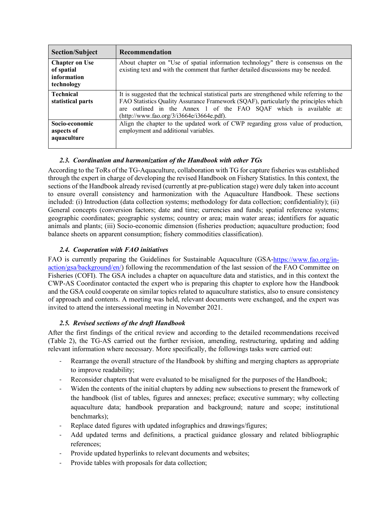| <b>Section/Subject</b>                                           | <b>Recommendation</b>                                                                                                                                                                                                                                                                                     |
|------------------------------------------------------------------|-----------------------------------------------------------------------------------------------------------------------------------------------------------------------------------------------------------------------------------------------------------------------------------------------------------|
| <b>Chapter on Use</b><br>of spatial<br>information<br>technology | About chapter on "Use of spatial information technology" there is consensus on the<br>existing text and with the comment that further detailed discussions may be needed.                                                                                                                                 |
| <b>Technical</b><br>statistical parts                            | It is suggested that the technical statistical parts are strengthened while referring to the<br>FAO Statistics Quality Assurance Framework (SQAF), particularly the principles which<br>are outlined in the Annex 1 of the FAO SQAF which is available at:<br>$(http://www.fao.org/3/i3664e/i3664e.pdf).$ |
| Socio-economic<br>aspects of<br>aquaculture                      | Align the chapter to the updated work of CWP regarding gross value of production,<br>employment and additional variables.                                                                                                                                                                                 |

### *2.3. Coordination and harmonization of the Handbook with other TGs*

According to the ToRs of the TG-Aquaculture, collaboration with TG for capture fisheries was established through the expert in charge of developing the revised Handbook on Fishery Statistics. In this context, the sections of the Handbook already revised (currently at pre-publication stage) were duly taken into account to ensure overall consistency and harmonization with the Aquaculture Handbook. These sections included: (i) Introduction (data collection systems; methodology for data collection; confidentiality); (ii) General concepts (conversion factors; date and time; currencies and funds; spatial reference systems; geographic coordinates; geographic systems; country or area; main water areas; identifiers for aquatic animals and plants; (iii) Socio-economic dimension (fisheries production; aquaculture production; food balance sheets on apparent consumption; fishery commodities classification).

### *2.4. Cooperation with FAO initiatives*

FAO is currently preparing the Guidelines for Sustainable Aquaculture (GSA[-https://www.fao.org/in](https://www.fao.org/in-action/gsa/background/en/)[action/gsa/background/en/\)](https://www.fao.org/in-action/gsa/background/en/) following the recommendation of the last session of the FAO Committee on Fisheries (COFI). The GSA includes a chapter on aquaculture data and statistics, and in this context the CWP-AS Coordinator contacted the expert who is preparing this chapter to explore how the Handbook and the GSA could cooperate on similar topics related to aquaculture statistics, also to ensure consistency of approach and contents. A meeting was held, relevant documents were exchanged, and the expert was invited to attend the intersessional meeting in November 2021.

#### *2.5. Revised sections of the draft Handbook*

After the first findings of the critical review and according to the detailed recommendations received (Table 2), the TG-AS carried out the further revision, amending, restructuring, updating and adding relevant information where necessary. More specifically, the followings tasks were carried out:

- Rearrange the overall structure of the Handbook by shifting and merging chapters as appropriate to improve readability;
- Reconsider chapters that were evaluated to be misaligned for the purposes of the Handbook;
- Widen the contents of the initial chapters by adding new subsections to present the framework of the handbook (list of tables, figures and annexes; preface; executive summary; why collecting aquaculture data; handbook preparation and background; nature and scope; institutional benchmarks);
- Replace dated figures with updated infographics and drawings/figures;
- Add updated terms and definitions, a practical guidance glossary and related bibliographic references;
- Provide updated hyperlinks to relevant documents and websites;
- Provide tables with proposals for data collection;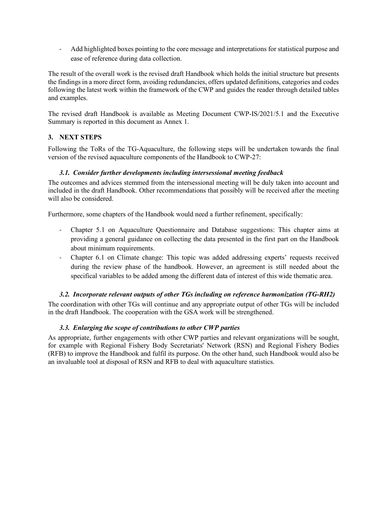- Add highlighted boxes pointing to the core message and interpretations for statistical purpose and ease of reference during data collection.

The result of the overall work is the revised draft Handbook which holds the initial structure but presents the findings in a more direct form, avoiding redundancies, offers updated definitions, categories and codes following the latest work within the framework of the CWP and guides the reader through detailed tables and examples.

The revised draft Handbook is available as Meeting Document CWP-IS/2021/5.1 and the Executive Summary is reported in this document as Annex 1.

### **3. NEXT STEPS**

Following the ToRs of the TG-Aquaculture, the following steps will be undertaken towards the final version of the revised aquaculture components of the Handbook to CWP-27:

#### *3.1. Consider further developments including intersessional meeting feedback*

The outcomes and advices stemmed from the intersessional meeting will be duly taken into account and included in the draft Handbook. Other recommendations that possibly will be received after the meeting will also be considered.

Furthermore, some chapters of the Handbook would need a further refinement, specifically:

- Chapter 5.1 on Aquaculture Questionnaire and Database suggestions: This chapter aims at providing a general guidance on collecting the data presented in the first part on the Handbook about minimum requirements.
- Chapter 6.1 on Climate change: This topic was added addressing experts' requests received during the review phase of the handbook. However, an agreement is still needed about the specifical variables to be added among the different data of interest of this wide thematic area.

#### *3.2. Incorporate relevant outputs of other TGs including on reference harmonization (TG-RH2)*

The coordination with other TGs will continue and any appropriate output of other TGs will be included in the draft Handbook. The cooperation with the GSA work will be strengthened.

#### *3.3. Enlarging the scope of contributions to other CWP parties*

As appropriate, further engagements with other CWP parties and relevant organizations will be sought, for example with Regional Fishery Body Secretariats' Network (RSN) and Regional Fishery Bodies (RFB) to improve the Handbook and fulfil its purpose. On the other hand, such Handbook would also be an invaluable tool at disposal of RSN and RFB to deal with aquaculture statistics.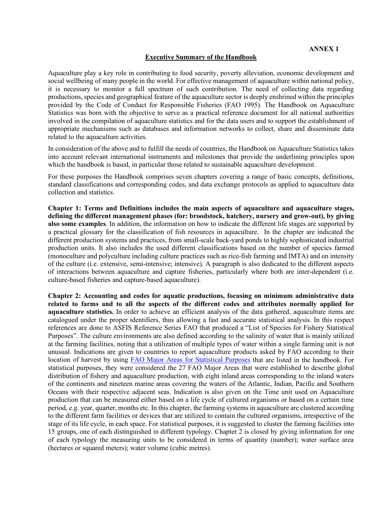#### **Executive Summary of the Handbook**

Aquaculture play a key role in contributing to food security, poverty alleviation, economic development and social wellbeing of many people in the world. For effective management of aquaculture within national policy, it is necessary to monitor a full spectrum of such contribution. The need of collecting data regarding productions, species and geographical feature of the aquaculture sector is deeply enshrined within the principles provided by the Code of Conduct for Responsible Fisheries (FAO 1995). The Handbook on Aquaculture Statistics was born with the objective to serve as a practical reference document for all national authorities involved in the compilation of aquaculture statistics and for the data users and to support the establishment of appropriate mechanisms such as databases and information networks to collect, share and disseminate data related to the aquaculture activities.

In consideration of the above and to fulfill the needs of countries, the Handbook on Aquaculture Statistics takes into account relevant international instruments and milestones that provide the underlining principles upon which the handbook is based, in particular those related to sustainable aquaculture development.

For these purposes the Handbook comprises seven chapters covering a range of basic concepts, definitions, standard classifications and corresponding codes, and data exchange protocols as applied to aquaculture data collection and statistics.

**Chapter 1: Terms and Definitions includes the main aspects of aquaculture and aquaculture stages, defining the different management phases (for: broodstock, hatchery, nursery and grow-out), by giving also some examples**. In addition, the information on how to indicate the different life stages are supported by a practical glossary for the classification of fish resources in aquaculture. In the chapter are indicated the different production systems and practices, from small-scale back-yard ponds to highly sophisticated industrial production units. It also includes the used different classifications based on the number of species farmed (monoculture and polyculture including culture practices such as rice-fish farming and IMTA) and on intensity of the culture (i.e. extensive, semi-intensive; intensive). A paragraph is also dedicated to the different aspects of interactions between aquaculture and capture fisheries, particularly where both are inter-dependent (i.e. culture-based fisheries and capture-based aquaculture).

**Chapter 2: Accounting and codes for aquatic productions, focusing on minimum administrative data related to farms and to all the aspects of the different codes and attributes normally applied for aquaculture statistics.** In order to achieve an efficient analysis of the data gathered, aquaculture items are catalogued under the proper identifiers, thus allowing a fast and accurate statistical analysis. In this respect references are done to ASFIS Reference Series FAO that produced a "List of Species for Fishery Statistical Purposes". The culture environments are also defined according to the salinity of water that is mainly utilized at the farming facilities, noting that a utilization of multiple types of water within a single farming unit is not unusual. Indications are given to countries to report aquaculture products asked by FAO according to their location of harvest by using [FAO Major Areas for Statistical Purposes](http://www.fao.org/fishery/cwp/handbook/H/en) that are listed in the handbook. For statistical purposes, they were considered the 27 FAO Major Areas that were established to describe global distribution of fishery and aquaculture production, with eight inland areas corresponding to the inland waters of the continents and nineteen marine areas covering the waters of the Atlantic, Indian, Pacific and Southern Oceans with their respective adjacent seas. Indication is also given on the Time unit used on Aquaculture production that can be measured either based on a life cycle of cultured organisms or based on a certain time period, e.g. year, quarter, months etc. In this chapter, the farming systems in aquaculture are clustered according to the different farm facilities or devices that are utilized to contain the cultured organisms, irrespective of the stage of its life cycle, in each space. For statistical purposes, it is suggested to cluster the farming facilities into 15 groups, one of each distinguished in different typology. Chapter 2 is closed by giving information for one of each typology the measuring units to be considered in terms of quantity (number); water surface area (hectares or squared meters); water volume (cubic metres).